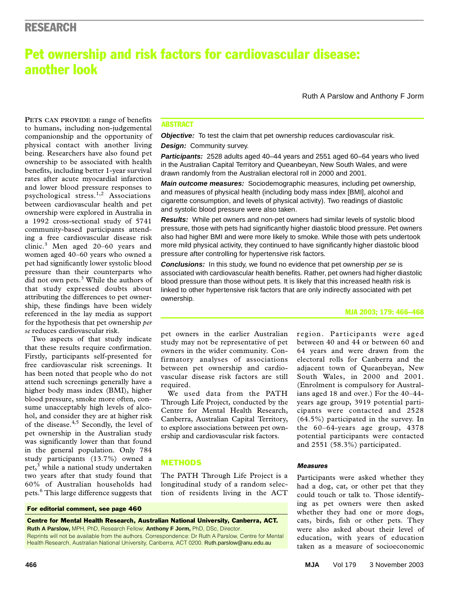# Pet ownership and risk factors for cardiovascular disease: another look

Ruth A Parslow and Anthony F Jorm

physical contact with another living being. Researchers have also found pet ,. -----.<br>rehin t ownership to be associated with health benefits, including better 1-year survival rates after acute myocardial infarction **PETS CAN PROVIDE** a range of benefits to humans, including non-judgemental companionship and the opportunity of and lower blood pressure responses to psychological stress.<sup>1,2</sup> Associations between cardiovascular health and pet ownership were explored in Australia in a 1992 cross-sectional study of 5741 community-based participants attending a free cardiovascular disease risk clinic.<sup>3</sup> Men aged 20-60 years and women aged 40–60 years who owned a pet had significantly lower systolic blood pressure than their counterparts who did not own pets.<sup>3</sup> While the authors of that study expressed doubts about attributing the differences to pet ownership, these findings have been widely referenced in the lay media as support for the hypothesis that pet ownership *per se* reduces cardiovascular risk.

Two aspects of that study indicate that these results require confirmation. Firstly, participants self-presented for free cardiovascular risk screenings. It has been noted that people who do not attend such screenings generally have a higher body mass index (BMI), higher blood pressure, smoke more often, consume unacceptably high levels of alcohol, and consider they are at higher risk of the disease.4,5 Secondly, the level of pet ownership in the Australian study was significantly lower than that found in the general population. Only 784 study participants (13.7%) owned a pet,<sup>3</sup> while a national study undertaken two years after that study found that 60% of Australian households had pets.6 This large difference suggests that

#### For editorial comment, see page 460

Centre for Mental Health Research, Australian National University, Canberra, ACT. **Ruth A Parslow,** MPH, PhD, Research Fellow; **Anthony F Jorm,** PhD, DSc, Director.

Reprints will not be available from the authors. Correspondence: Dr Ruth A Parslow, Centre for Mental Health Research, Australian National University, Canberra, ACT 0200. Ruth.parslow@anu.edu.au

## ABSTRACT

**Objective:** To test the claim that pet ownership reduces cardiovascular risk. **Design:** Community survey.

**Participants:** 2528 adults aged 40–44 years and 2551 aged 60–64 years who lived in the Australian Capital Territory and Queanbeyan, New South Wales, and were drawn randomly from the Australian electoral roll in 2000 and 2001.

**Main outcome measures:** Sociodemographic measures, including pet ownership, and measures of physical health (including body mass index [BMI], alcohol and cigarette consumption, and levels of physical activity). Two readings of diastolic and systolic blood pressure were also taken.

**Results:** While pet owners and non-pet owners had similar levels of systolic blood pressure, those with pets had significantly higher diastolic blood pressure. Pet owners also had higher BMI and were more likely to smoke. While those with pets undertook more mild physical activity, they continued to have significantly higher diastolic blood pressure after controlling for hypertensive risk factors.

**Conclusions:** In this study, we found no evidence that pet ownership per se is associated with cardiovascular health benefits. Rather, pet owners had higher diastolic blood pressure than those without pets. It is likely that this increased health risk is linked to other hypertensive risk factors that are only indirectly associated with pet ownership.

#### MJA 2003; 179: 466–468

pet owners in the earlier Australian study may not be representative of pet owners in the wider community. Confirmatory analyses of associations between pet ownership and cardiovascular disease risk factors are still required.

We used data from the PATH Through Life Project, conducted by the Centre for Mental Health Research, Canberra, Australian Capital Territory, to explore associations between pet ownership and cardiovascular risk factors.

#### METHODS

The PATH Through Life Project is a longitudinal study of a random selection of residents living in the ACT

region. Participants were aged between 40 and 44 or between 60 and 64 years and were drawn from the electoral rolls for Canberra and the adjacent town of Queanbeyan, New South Wales, in 2000 and 2001. (Enrolment is compulsory for Australians aged 18 and over.) For the 40–44 years age group, 3919 potential participants were contacted and 2528 (64.5%) participated in the survey. In the 60–64-years age group, 4378 potential participants were contacted and 2551 (58.3%) participated.

#### *Measures*

Participants were asked whether they had a dog, cat, or other pet that they could touch or talk to. Those identifying as pet owners were then asked whether they had one or more dogs, cats, birds, fish or other pets. They were also asked about their level of education, with years of education taken as a measure of socioeconomic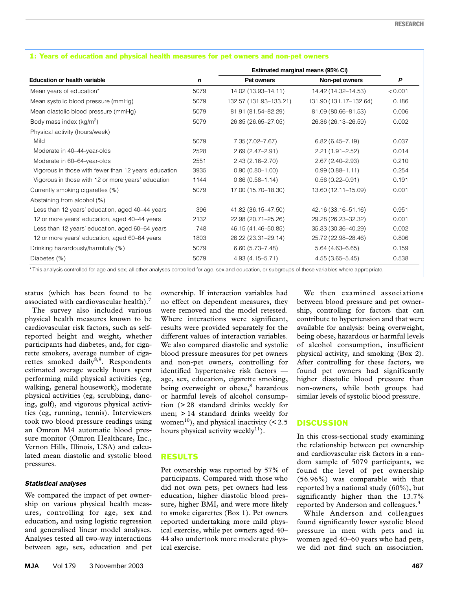|                                                       |             | Estimated marginal means (95% CI) |                        |         |
|-------------------------------------------------------|-------------|-----------------------------------|------------------------|---------|
| <b>Education or health variable</b>                   | $\mathbf n$ | Pet owners                        | Non-pet owners         | P       |
| Mean years of education*                              | 5079        | 14.02 (13.93-14.11)               | 14.42 (14.32-14.53)    | < 0.001 |
| Mean systolic blood pressure (mmHg)                   | 5079        | 132.57 (131.93-133.21)            | 131.90 (131.17-132.64) | 0.186   |
| Mean diastolic blood pressure (mmHg)                  | 5079        | 81.91 (81.54-82.29)               | 81.09 (80.66-81.53)    | 0.006   |
| Body mass index (kg/m <sup>2</sup> )                  | 5079        | 26.85 (26.65-27.05)               | 26.36 (26.13-26.59)    | 0.002   |
| Physical activity (hours/week)                        |             |                                   |                        |         |
| Mild                                                  | 5079        | $7.35(7.02 - 7.67)$               | $6.82(6.45 - 7.19)$    | 0.037   |
| Moderate in 40-44-year-olds                           | 2528        | $2.69(2.47 - 2.91)$               | $2.21(1.91 - 2.52)$    | 0.014   |
| Moderate in 60-64-year-olds                           | 2551        | $2.43(2.16 - 2.70)$               | $2.67(2.40 - 2.93)$    | 0.210   |
| Vigorous in those with fewer than 12 years' education | 3935        | $0.90(0.80 - 1.00)$               | $0.99(0.88 - 1.11)$    | 0.254   |
| Vigorous in those with 12 or more years' education    | 1144        | $0.86(0.58 - 1.14)$               | $0.56(0.22 - 0.91)$    | 0.191   |
| Currently smoking cigarettes (%)                      | 5079        | 17.00 (15.70-18.30)               | 13.60 (12.11-15.09)    | 0.001   |
| Abstaining from alcohol (%)                           |             |                                   |                        |         |
| Less than 12 years' education, aged 40-44 years       | 396         | 41.82 (36.15-47.50)               | 42.16 (33.16-51.16)    | 0.951   |
| 12 or more years' education, aged 40-44 years         | 2132        | 22.98 (20.71-25.26)               | 29.28 (26.23-32.32)    | 0.001   |
| Less than 12 years' education, aged 60-64 years       | 748         | 46.15 (41.46-50.85)               | 35.33 (30.36-40.29)    | 0.002   |
| 12 or more years' education, aged 60–64 years         | 1803        | 26.22 (23.31-29.14)               | 25.72 (22.98-28.46)    | 0.806   |
| Drinking hazardously/harmfully (%)                    | 5079        | $6.60(5.73 - 7.48)$               | $5.64(4.63 - 6.65)$    | 0.159   |
| Diabetes (%)                                          | 5079        | 4.93 (4.15-5.71)                  | $4.55(3.65 - 5.45)$    | 0.538   |

#### 1: Years of education and physical health measures for pet owners and non-pet owners

status (which has been found to be associated with cardiovascular health).<sup>7</sup>

The survey also included various physical health measures known to be cardiovascular risk factors, such as selfreported height and weight, whether participants had diabetes, and, for cigarette smokers, average number of cigarettes smoked daily<sup>8,9</sup>. Respondents estimated average weekly hours spent performing mild physical activities (eg, walking, general housework), moderate physical activities (eg, scrubbing, dancing, golf), and vigorous physical activities (eg, running, tennis). Interviewers took two blood pressure readings using an Omron M4 automatic blood pressure monitor (Omron Healthcare, Inc., Vernon Hills, Illinois, USA) and calculated mean diastolic and systolic blood pressures.

#### *Statistical analyses*

We compared the impact of pet ownership on various physical health measures, controlling for age, sex and education, and using logistic regression and generalised linear model analyses. Analyses tested all two-way interactions between age, sex, education and pet ownership. If interaction variables had no effect on dependent measures, they were removed and the model retested. Where interactions were significant, results were provided separately for the different values of interaction variables. We also compared diastolic and systolic blood pressure measures for pet owners and non-pet owners, controlling for identified hypertensive risk factors age, sex, education, cigarette smoking, being overweight or obese, $8$  hazardous or harmful levels of alcohol consumption (> 28 standard drinks weekly for men; > 14 standard drinks weekly for women<sup>10</sup>), and physical inactivity  $($ hours physical activity weekly<sup>11</sup>).

## RESULTS

Pet ownership was reported by 57% of participants. Compared with those who did not own pets, pet owners had less education, higher diastolic blood pressure, higher BMI, and were more likely to smoke cigarettes (Box 1). Pet owners reported undertaking more mild physical exercise, while pet owners aged 40– 44 also undertook more moderate physical exercise.

We then examined associations between blood pressure and pet ownership, controlling for factors that can contribute to hypertension and that were available for analysis: being overweight, being obese, hazardous or harmful levels of alcohol consumption, insufficient physical activity, and smoking (Box 2). After controlling for these factors, we found pet owners had significantly higher diastolic blood pressure than non-owners, while both groups had similar levels of systolic blood pressure.

## **DISCUSSION**

In this cross-sectional study examining the relationship between pet ownership and cardiovascular risk factors in a random sample of 5079 participants, we found the level of pet ownership (56.96%) was comparable with that reported by a national study (60%), but significantly higher than the 13.7% reported by Anderson and colleagues.<sup>3</sup>

While Anderson and colleagues found significantly lower systolic blood pressure in men with pets and in women aged 40–60 years who had pets, we did not find such an association.